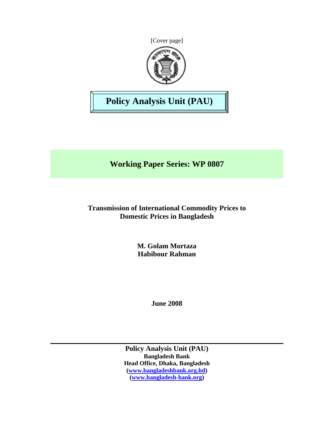



# **Policy Analysis Unit (PAU)**

# **Working Paper Series: WP 0807**

## **Transmission of International Commodity Prices to Domestic Prices in Bangladesh**

**M. Golam Mortaza Habibour Rahman** 

**June 2008** 

**Policy Analysis Unit (PAU) Bangladesh Bank Head Office, Dhaka, Bangladesh (www.bangladeshbank.org.bd) (www.bangladesh-bank.org)**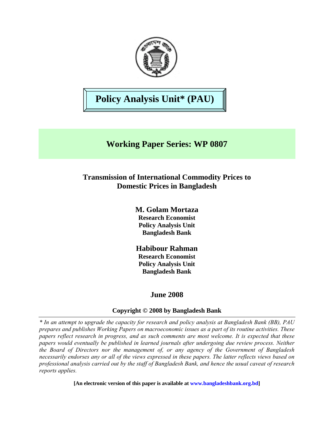

# **Policy Analysis Unit\* (PAU)**

# **Working Paper Series: WP 0807**

## **Transmission of International Commodity Prices to Domestic Prices in Bangladesh**

**M. Golam Mortaza Research Economist Policy Analysis Unit Bangladesh Bank** 

**Habibour Rahman Research Economist Policy Analysis Unit Bangladesh Bank** 

## **June 2008**

## **Copyright © 2008 by Bangladesh Bank**

*\* In an attempt to upgrade the capacity for research and policy analysis at Bangladesh Bank (BB), PAU prepares and publishes Working Papers on macroeconomic issues as a part of its routine activities. These papers reflect research in progress, and as such comments are most welcome. It is expected that these papers would eventually be published in learned journals after undergoing due review process. Neither the Board of Directors nor the management of, or any agency of the Government of Bangladesh necessarily endorses any or all of the views expressed in these papers. The latter reflects views based on professional analysis carried out by the staff of Bangladesh Bank, and hence the usual caveat of research reports applies.*

**[An electronic version of this paper is available at www.bangladeshbank.org.bd]**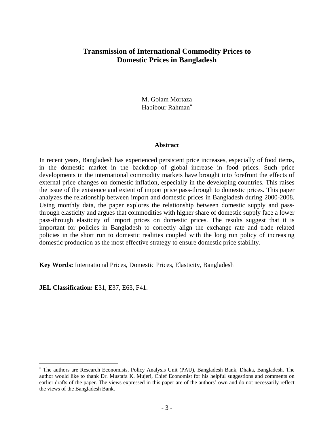## **Transmission of International Commodity Prices to Domestic Prices in Bangladesh**

M. Golam Mortaza Habibour Rahman<sup>∗</sup>

#### **Abstract**

In recent years, Bangladesh has experienced persistent price increases, especially of food items, in the domestic market in the backdrop of global increase in food prices. Such price developments in the international commodity markets have brought into forefront the effects of external price changes on domestic inflation, especially in the developing countries. This raises the issue of the existence and extent of import price pass-through to domestic prices. This paper analyzes the relationship between import and domestic prices in Bangladesh during 2000-2008. Using monthly data, the paper explores the relationship between domestic supply and passthrough elasticity and argues that commodities with higher share of domestic supply face a lower pass-through elasticity of import prices on domestic prices. The results suggest that it is important for policies in Bangladesh to correctly align the exchange rate and trade related policies in the short run to domestic realities coupled with the long run policy of increasing domestic production as the most effective strategy to ensure domestic price stability.

**Key Words:** International Prices, Domestic Prices, Elasticity, Bangladesh

**JEL Classification:** E31, E37, E63, F41.

<sup>∗</sup> The authors are Research Economists, Policy Analysis Unit (PAU), Bangladesh Bank, Dhaka, Bangladesh. The author would like to thank Dr. Mustafa K. Mujeri, Chief Economist for his helpful suggestions and comments on earlier drafts of the paper. The views expressed in this paper are of the authors' own and do not necessarily reflect the views of the Bangladesh Bank.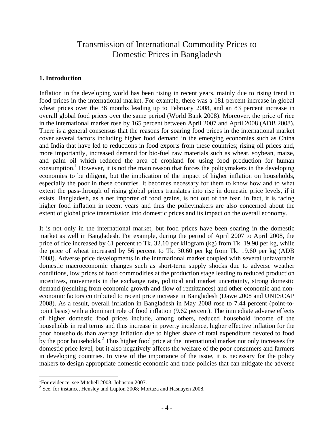# Transmission of International Commodity Prices to Domestic Prices in Bangladesh

#### **1. Introduction**

Inflation in the developing world has been rising in recent years, mainly due to rising trend in food prices in the international market. For example, there was a 181 percent increase in global wheat prices over the 36 months leading up to February 2008, and an 83 percent increase in overall global food prices over the same period (World Bank 2008). Moreover, the price of rice in the international market rose by 165 percent between April 2007 and April 2008 (ADB 2008). There is a general consensus that the reasons for soaring food prices in the international market cover several factors including higher food demand in the emerging economies such as China and India that have led to reductions in food exports from these countries; rising oil prices and, more importantly, increased demand for bio-fuel raw materials such as wheat, soybean, maize, and palm oil which reduced the area of cropland for using food production for human consumption.<sup>1</sup> However, it is not the main reason that forces the policymakers in the developing economies to be diligent, but the implication of the impact of higher inflation on households, especially the poor in these countries. It becomes necessary for them to know how and to what extent the pass-through of rising global prices translates into rise in domestic price levels, if it exists. Bangladesh, as a net importer of food grains, is not out of the fear, in fact, it is facing higher food inflation in recent years and thus the policymakers are also concerned about the extent of global price transmission into domestic prices and its impact on the overall economy.

It is not only in the international market, but food prices have been soaring in the domestic market as well in Bangladesh. For example, during the period of April 2007 to April 2008, the price of rice increased by 61 percent to Tk. 32.10 per kilogram (kg) from Tk. 19.90 per kg, while the price of wheat increased by 56 percent to Tk. 30.60 per kg from Tk. 19.60 per kg (ADB 2008). Adverse price developments in the international market coupled with several unfavorable domestic macroeconomic changes such as short-term supply shocks due to adverse weather conditions, low prices of food commodities at the production stage leading to reduced production incentives, movements in the exchange rate, political and market uncertainty, strong domestic demand (resulting from economic growth and flow of remittances) and other economic and noneconomic factors contributed to recent price increase in Bangladesh (Dawe 2008 and UNESCAP 2008). As a result, overall inflation in Bangladesh in May 2008 rose to 7.44 percent (point-topoint basis) with a dominant role of food inflation (9.62 percent). The immediate adverse effects of higher domestic food prices include, among others, reduced household income of the households in real terms and thus increase in poverty incidence, higher effective inflation for the poor households than average inflation due to higher share of total expenditure devoted to food by the poor households.<sup>2</sup> Thus higher food price at the international market not only increases the domestic price level, but it also negatively affects the welfare of the poor consumers and farmers in developing countries. In view of the importance of the issue, it is necessary for the policy makers to design appropriate domestic economic and trade policies that can mitigate the adverse

1

<sup>&</sup>lt;sup>1</sup>For evidence, see Mitchell 2008, Johnston 2007.

 $2^2$  See, for instance, Hensley and Lupton 2008; Mortaza and Hasnayen 2008.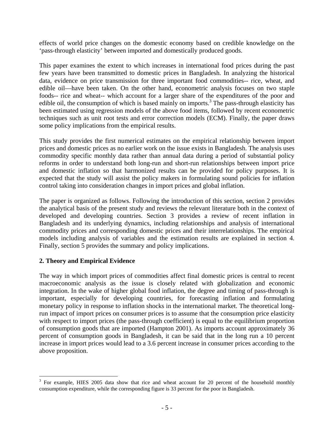effects of world price changes on the domestic economy based on credible knowledge on the 'pass-through elasticity' between imported and domestically produced goods.

This paper examines the extent to which increases in international food prices during the past few years have been transmitted to domestic prices in Bangladesh. In analyzing the historical data, evidence on price transmission for three important food commodities-- rice, wheat, and edible oil—have been taken. On the other hand, econometric analysis focuses on two staple foods-- rice and wheat-- which account for a larger share of the expenditures of the poor and edible oil, the consumption of which is based mainly on imports.<sup>3</sup> The pass-through elasticity has been estimated using regression models of the above food items, followed by recent econometric techniques such as unit root tests and error correction models (ECM). Finally, the paper draws some policy implications from the empirical results.

This study provides the first numerical estimates on the empirical relationship between import prices and domestic prices as no earlier work on the issue exists in Bangladesh. The analysis uses commodity specific monthly data rather than annual data during a period of substantial policy reforms in order to understand both long-run and short-run relationships between import price and domestic inflation so that harmonized results can be provided for policy purposes. It is expected that the study will assist the policy makers in formulating sound policies for inflation control taking into consideration changes in import prices and global inflation.

The paper is organized as follows. Following the introduction of this section, section 2 provides the analytical basis of the present study and reviews the relevant literature both in the context of developed and developing countries. Section 3 provides a review of recent inflation in Bangladesh and its underlying dynamics, including relationships and analysis of international commodity prices and corresponding domestic prices and their interrelationships. The empirical models including analysis of variables and the estimation results are explained in section 4. Finally, section 5 provides the summary and policy implications.

## **2. Theory and Empirical Evidence**

The way in which import prices of commodities affect final domestic prices is central to recent macroeconomic analysis as the issue is closely related with globalization and economic integration. In the wake of higher global food inflation, the degree and timing of pass-through is important, especially for developing countries, for forecasting inflation and formulating monetary policy in response to inflation shocks in the international market. The theoretical longrun impact of import prices on consumer prices is to assume that the consumption price elasticity with respect to import prices (the pass-through coefficient) is equal to the equilibrium proportion of consumption goods that are imported (Hampton 2001). As imports account approximately 36 percent of consumption goods in Bangladesh, it can be said that in the long run a 10 percent increase in import prices would lead to a 3.6 percent increase in consumer prices according to the above proposition.

<sup>&</sup>lt;sup>3</sup> For example, HIES 2005 data show that rice and wheat account for 20 percent of the household monthly consumption expenditure, while the corresponding figure is 33 percent for the poor in Bangladesh.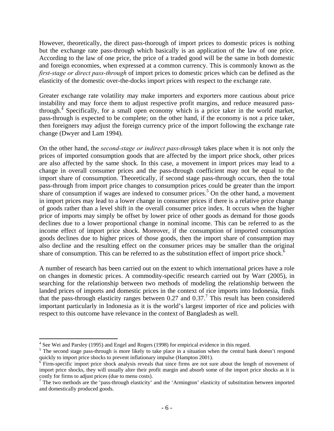However, theoretically, the direct pass-thorough of import prices to domestic prices is nothing but the exchange rate pass-through which basically is an application of the law of one price. According to the law of one price, the price of a traded good will be the same in both domestic and foreign economies, when expressed at a common currency. This is commonly known as the *first-stage or direct pass-through* of import prices to domestic prices which can be defined as the elasticity of the domestic over-the-docks import prices with respect to the exchange rate.

Greater exchange rate volatility may make importers and exporters more cautious about price instability and may force them to adjust respective profit margins, and reduce measured passthrough.<sup>4</sup> Specifically, for a small open economy which is a price taker in the world market, pass-through is expected to be complete; on the other hand, if the economy is not a price taker, then foreigners may adjust the foreign currency price of the import following the exchange rate change (Dwyer and Lam 1994).

On the other hand, the *second-stage or indirect pass-through* takes place when it is not only the prices of imported consumption goods that are affected by the import price shock, other prices are also affected by the same shock. In this case, a movement in import prices may lead to a change in overall consumer prices and the pass-through coefficient may not be equal to the import share of consumption. Theoretically, if second stage pass-through occurs, then the total pass-through from import price changes to consumption prices could be greater than the import share of consumption if wages are indexed to consumer prices.<sup>5</sup> On the other hand, a movement in import prices may lead to a lower change in consumer prices if there is a relative price change of goods rather than a level shift in the overall consumer price index. It occurs when the higher price of imports may simply be offset by lower price of other goods as demand for those goods declines due to a lower proportional change in nominal income. This can be referred to as the income effect of import price shock. Moreover, if the consumption of imported consumption goods declines due to higher prices of those goods, then the import share of consumption may also decline and the resulting effect on the consumer prices may be smaller than the original share of consumption. This can be referred to as the substitution effect of import price shock.<sup>6</sup>

A number of research has been carried out on the extent to which international prices have a role on changes in domestic prices. A commodity-specific research carried out by Warr (2005), in searching for the relationship between two methods of modeling the relationship between the landed prices of imports and domestic prices in the context of rice imports into Indonesia, finds that the pass-through elasticity ranges between  $0.27$  and  $0.37$ .<sup>7</sup> This result has been considered important particularly in Indonesia as it is the world's largest importer of rice and policies with respect to this outcome have relevance in the context of Bangladesh as well.

<sup>&</sup>lt;sup>4</sup> See Wei and Parsley (1995) and Engel and Rogers (1998) for empirical evidence in this regard.

<sup>&</sup>lt;sup>5</sup> The second stage pass-through is more likely to take place in a situation when the central bank doesn't respond quickly to import price shocks to prevent inflationary impulse (Hampton 2001).

 $6$  Firm-specific import price shock analysis reveals that since firms are not sure about the length of movement of import price shocks, they will usually alter their profit margin and absorb some of the import price shocks as it is

costly for firms to adjust prices (due to menu costs).<br><sup>7</sup> The two methods are the 'pass-through elasticity' and the 'Armington' elasticity of substitution between imported and domestically produced goods.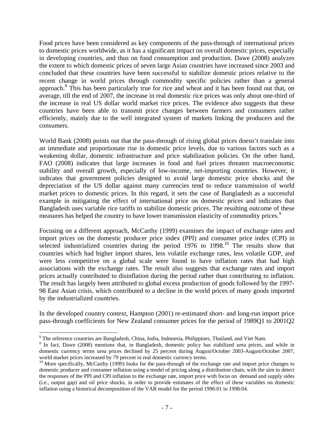Food prices have been considered as key components of the pass-through of international prices to domestic prices worldwide, as it has a significant impact on overall domestic prices, especially in developing countries, and thus on food consumption and production. Dawe (2008) analyzes the extent to which domestic prices of seven large Asian countries have increased since 2003 and concluded that these countries have been successful to stabilize domestic prices relative to the recent change in world prices through commodity specific policies rather than a general approach.<sup>8</sup> This has been particularly true for rice and wheat and it has been found out that, on average, till the end of 2007, the increase in real domestic rice prices was only about one-third of the increase in real US dollar world market rice prices. The evidence also suggests that these countries have been able to transmit price changes between farmers and consumers rather efficiently, mainly due to the well integrated system of markets linking the producers and the consumers.

World Bank (2008) points out that the pass-through of rising global prices doesn't translate into an immediate and proportionate rise in domestic price levels, due to various factors such as a weakening dollar, domestic infrastructure and price stabilization policies. On the other hand, FAO (2008) indicates that large increases in food and fuel prices threaten macroeconomic stability and overall growth, especially of low-income, net-importing countries. However, it indicates that government policies designed to avoid large domestic price shocks and the depreciation of the US dollar against many currencies tend to reduce transmission of world market prices to domestic prices. In this regard, it sets the case of Bangladesh as a successful example in mitigating the effect of international price on domestic prices and indicates that Bangladesh uses variable rice tariffs to stabilize domestic prices. The resulting outcome of these measures has helped the country to have lower transmission elasticity of commodity prices.<sup>9</sup>

Focusing on a different approach, McCarthy (1999) examines the impact of exchange rates and import prices on the domestic producer price index (PPI) and consumer price index (CPI) in selected industrialized countries during the period 1976 to 1998.<sup>10</sup> The results show that countries which had higher import shares, less volatile exchange rates, less volatile GDP, and were less competitive on a global scale were found to have inflation rates that had high associations with the exchange rates. The result also suggests that exchange rates and import prices actually contributed to disinflation during the period rather than contributing to inflation. The result has largely been attributed to global excess production of goods followed by the 1997- 98 East Asian crisis, which contributed to a decline in the world prices of many goods imported by the industrialized countries.

In the developed country context, Hampton (2001) re-estimated short- and long-run import price pass-through coefficients for New Zealand consumer prices for the period of 1989Q1 to 2001Q2

<sup>&</sup>lt;sup>8</sup> The reference countries are Bangladesh, China, India, Indonesia, Philippines, Thailand, and Viet Nam.

<sup>&</sup>lt;sup>9</sup> In fact, Dawe (2008) mentions that, in Bangladesh, domestic policy has stabilized urea prices, and while in domestic currency terms urea prices declined by 25 percent during August/October 2003-August/October 2007, world market prices increased by 79 percent in real domestic currency terms.

 $10$  More specifically, McCarthy (1999) looks for the pass-through of the exchange rate and import price changes to domestic producer and consumer inflation using a model of pricing along a distribution chain, with the aim to detect the responses of the PPI and CPI inflation to the exchange rate, import price with focus on demand and supply sides (i.e., output gap) and oil price shocks, in order to provide estimates of the effect of these variables on domestic inflation using a historical decomposition of the VAR model for the period 1996:01 to 1998:04.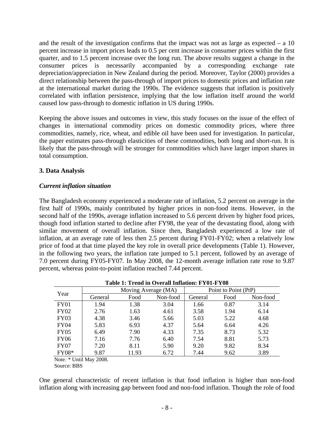and the result of the investigation confirms that the impact was not as large as expected – a 10 percent increase in import prices leads to 0.5 per cent increase in consumer prices within the first quarter, and to 1.5 percent increase over the long run. The above results suggest a change in the consumer prices is necessarily accompanied by a corresponding exchange rate depreciation/appreciation in New Zealand during the period. Moreover, Taylor (2000) provides a direct relationship between the pass-through of import prices to domestic prices and inflation rate at the international market during the 1990s. The evidence suggests that inflation is positively correlated with inflation persistence, implying that the low inflation itself around the world caused low pass-through to domestic inflation in US during 1990s.

Keeping the above issues and outcomes in view, this study focuses on the issue of the effect of changes in international commodity prices on domestic commodity prices, where three commodities, namely, rice, wheat, and edible oil have been used for investigation. In particular, the paper estimates pass-through elasticities of these commodities, both long and short-run. It is likely that the pass-through will be stronger for commodities which have larger import shares in total consumption.

## **3. Data Analysis**

#### *Current inflation situation*

The Bangladesh economy experienced a moderate rate of inflation, 5.2 percent on average in the first half of 1990s, mainly contributed by higher prices in non-food items. However, in the second half of the 1990s, average inflation increased to 5.6 percent driven by higher food prices, though food inflation started to decline after FY98, the year of the devastating flood, along with similar movement of overall inflation. Since then, Bangladesh experienced a low rate of inflation, at an average rate of less then 2.5 percent during FY01-FY02; when a relatively low price of food at that time played the key role in overall price developments (Table 1). However, in the following two years, the inflation rate jumped to 5.1 percent, followed by an average of 7.0 percent during FY05-FY07. In May 2008, the 12-month average inflation rate rose to 9.87 percent, whereas point-to-point inflation reached 7.44 percent.

| Table 1: Trend in Overall Inflation: FY01-FY08 |         |                     |          |         |                      |          |  |  |
|------------------------------------------------|---------|---------------------|----------|---------|----------------------|----------|--|--|
| Year                                           |         | Moving Average (MA) |          |         | Point to Point (PtP) |          |  |  |
|                                                | General | Food                | Non-food | General | Food                 | Non-food |  |  |
| FY01                                           | 1.94    | 1.38                | 3.04     | 1.66    | 0.87                 | 3.14     |  |  |
| FY02                                           | 2.76    | 1.63                | 4.61     | 3.58    | 1.94                 | 6.14     |  |  |
| FY <sub>03</sub>                               | 4.38    | 3.46                | 5.66     | 5.03    | 5.22                 | 4.68     |  |  |
| FY04                                           | 5.83    | 6.93                | 4.37     | 5.64    | 6.64                 | 4.26     |  |  |
| <b>FY05</b>                                    | 6.49    | 7.90                | 4.33     | 7.35    | 8.73                 | 5.32     |  |  |
| <b>FY06</b>                                    | 7.16    | 7.76                | 6.40     | 7.54    | 8.81                 | 5.73     |  |  |
| FY07                                           | 7.20    | 8.11                | 5.90     | 9.20    | 9.82                 | 8.34     |  |  |
| $FY08*$                                        | 9.87    | 11.93               | 6.72     | 7.44    | 9.62                 | 3.89     |  |  |

**Table 1: Trend in Overall Inflation: FY01-FY08** 

 Note*:* \* Until May 2008. Source: BBS

One general characteristic of recent inflation is that food inflation is higher than non-food inflation along with increasing gap between food and non-food inflation. Though the role of food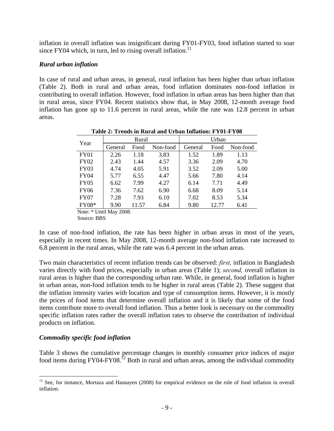inflation in overall inflation was insignificant during FY01-FY03, food inflation started to soar since FY04 which, in turn, led to rising overall inflation.<sup>11</sup>

#### *Rural urban inflation*

In case of rural and urban areas, in general, rural inflation has been higher than urban inflation (Table 2). Both in rural and urban areas, food inflation dominates non-food inflation in contributing to overall inflation. However, food inflation in urban areas has been higher than that in rural areas, since FY04. Recent statistics show that, in May 2008, 12-month average food inflation has gone up to 11.6 percent in rural areas, while the rate was 12.8 percent in urban areas.

| Year        |         | Rural |          |         | Urban |          |
|-------------|---------|-------|----------|---------|-------|----------|
|             | General | Food  | Non-food | General | Food  | Non-food |
| <b>FY01</b> | 2.26    | 1.18  | 3.83     | 1.52    | 1.89  | 1.13     |
| <b>FY02</b> | 2.43    | 1.44  | 4.57     | 3.36    | 2.09  | 4.70     |
| <b>FY03</b> | 4.74    | 4.05  | 5.91     | 3.52    | 2.09  | 5.00     |
| <b>FY04</b> | 5.77    | 6.55  | 4.47     | 5.66    | 7.80  | 4.14     |
| <b>FY05</b> | 6.62    | 7.99  | 4.27     | 6.14    | 7.71  | 4.49     |
| <b>FY06</b> | 7.36    | 7.62  | 6.90     | 6.68    | 8.09  | 5.14     |
| <b>FY07</b> | 7.28    | 7.93  | 6.10     | 7.02    | 8.53  | 5.34     |
| FY08*       | 9.90    | 11.57 | 6.84     | 9.80    | 12.77 | 6.41     |

**Table 2: Trends in Rural and Urban Inflation: FY01-FY08** 

Note: \* Until May 2008.

Source: BBS

In case of non-food inflation, the rate has been higher in urban areas in most of the years, especially in recent times. In May 2008, 12-month average non-food inflation rate increased to 6.8 percent in the rural areas, while the rate was 6.4 percent in the urban areas.

Two main characteristics of recent inflation trends can be observed: *first,* inflation in Bangladesh varies directly with food prices, especially in urban areas (Table 1); *second,* overall inflation in rural areas is higher than the corresponding urban rate. While, in general, food inflation is higher in urban areas, non-food inflation tends to be higher in rural areas (Table 2). These suggest that the inflation intensity varies with location and type of consumption items. However, it is mostly the prices of food items that determine overall inflation and it is likely that some of the food items contribute more to overall food inflation. Thus a better look is necessary on the commodity specific inflation rates rather the overall inflation rates to observe the contribution of individual products on inflation.

## *Commodity specific food inflation*

1

Table 3 shows the cumulative percentage changes in monthly consumer price indices of major food items during FY04-FY08.<sup>12</sup> Both in rural and urban areas, among the individual commodity

<sup>&</sup>lt;sup>11</sup> See, for instance, Mortaza and Hasnayen (2008) for empirical evidence on the role of food inflation in overall inflation.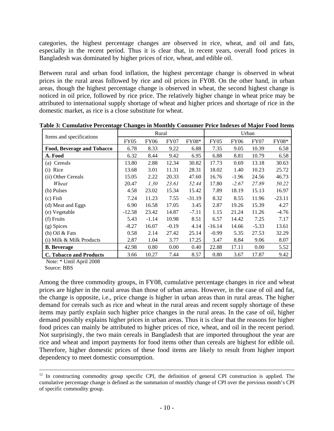categories, the highest percentage changes are observed in rice, wheat, and oil and fats, especially in the recent period. Thus it is clear that, in recent years, overall food prices in Bangladesh was dominated by higher prices of rice, wheat, and edible oil.

Between rural and urban food inflation, the highest percentage change is observed in wheat prices in the rural areas followed by rice and oil prices in FY08. On the other hand, in urban areas, though the highest percentage change is observed in wheat, the second highest change is noticed in oil price, followed by rice price. The relatively higher change in wheat price may be attributed to international supply shortage of wheat and higher prices and shortage of rice in the domestic market, as rice is a close substitute for wheat.

| Items and specifications       |             | Rural       |             |          | Urban       |             |             |          |
|--------------------------------|-------------|-------------|-------------|----------|-------------|-------------|-------------|----------|
|                                | <b>FY05</b> | <b>FY06</b> | <b>FY07</b> | $FY08*$  | <b>FY05</b> | <b>FY06</b> | <b>FY07</b> | FY08*    |
| Food, Beverage and Tobacco     | 6.78        | 8.33        | 9.22        | 6.88     | 7.35        | 9.05        | 10.39       | 6.58     |
| A. Food                        | 6.32        | 8.44        | 9.42        | 6.95     | 6.88        | 8.81        | 10.79       | 6.58     |
| (a) Cereals                    | 13.80       | 2.88        | 12.34       | 30.82    | 17.73       | 0.69        | 13.18       | 30.63    |
| Rice<br>(i)                    | 13.68       | 3.01        | 11.31       | 28.31    | 18.02       | 1.40        | 10.23       | 25.72    |
| (ii) Other Cereals             | 15.05       | 2.22        | 20.33       | 47.60    | 16.76       | $-1.96$     | 24.56       | 46.73    |
| Wheat                          | 20.47       | 1.30        | 23.61       | 52.44    | 17.80       | $-2.67$     | 27.89       | 50.22    |
| (b) Pulses                     | 4.58        | 23.02       | 15.34       | 15.42    | 7.89        | 18.19       | 15.13       | 16.97    |
| $(c)$ Fish                     | 7.24        | 11.23       | 7.55        | $-31.19$ | 8.32        | 8.55        | 11.96       | $-23.11$ |
| (d) Meat and Eggs              | 6.90        | 16.58       | 17.05       | 3.45     | 2.87        | 19.26       | 15.39       | 4.27     |
| (e) Vegetable                  | $-12.58$    | 23.42       | 14.87       | $-7.11$  | 1.15        | 21.24       | 11.26       | $-4.76$  |
| (f) Fruits                     | 5.43        | $-1.14$     | 10.98       | 8.51     | 6.57        | 14.42       | 7.25        | 7.17     |
| $(g)$ Spices                   | $-8.27$     | 16.07       | $-0.19$     | 4.14     | $-16.14$    | 14.66       | $-5.33$     | 13.61    |
| (h) Oil & Fats                 | 0.58        | 2.14        | 27.42       | 25.14    | $-0.99$     | 5.35        | 27.53       | 32.29    |
| (i) Milk & Milk Products       | 2.87        | 1.04        | 3.77        | 17.25    | 3.47        | 8.84        | 9.06        | 8.07     |
| <b>B.</b> Beverage             | 42.98       | 0.80        | 0.00        | 0.40     | 22.88       | 17.11       | 0.00        | 5.52     |
| <b>C. Tobacco and Products</b> | 3.66        | 10.27       | 7.44        | 8.57     | 0.80        | 3.67        | 17.87       | 9.42     |

**Table 3: Cumulative Percentage Changes in Monthly Consumer Price Indexes of Major Food Items** 

Note: \* Until April 2008

Source: BBS

Among the three commodity groups, in FY08, cumulative percentage changes in rice and wheat prices are higher in the rural areas than those of urban areas. However, in the case of oil and fat, the change is opposite, i.e., price change is higher in urban areas than in rural areas. The higher demand for cereals such as rice and wheat in the rural areas and recent supply shortage of these items may partly explain such higher price changes in the rural areas. In the case of oil, higher demand possibly explains higher prices in urban areas. Thus it is clear that the reasons for higher food prices can mainly be attributed to higher prices of rice, wheat, and oil in the recent period. Not surprisingly, the two main cereals in Bangladesh that are imported throughout the year are rice and wheat and import payments for food items other than cereals are highest for edible oil. Therefore, higher domestic prices of these food items are likely to result from higher import dependency to meet domestic consumption.

<sup>&</sup>lt;sup>12</sup> In constructing commodity group specific CPI, the definition of general CPI construction is applied. The cumulative percentage change is defined as the summation of monthly change of CPI over the previous month's CPI of specific commodity group.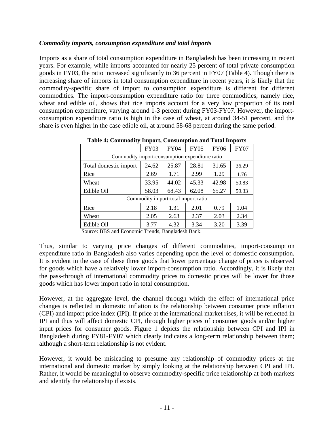#### *Commodity imports, consumption expenditure and total imports*

Imports as a share of total consumption expenditure in Bangladesh has been increasing in recent years. For example, while imports accounted for nearly 25 percent of total private consumption goods in FY03, the ratio increased significantly to 36 percent in FY07 (Table 4). Though there is increasing share of imports in total consumption expenditure in recent years, it is likely that the commodity-specific share of import to consumption expenditure is different for different commodities. The import-consumption expenditure ratio for three commodities, namely rice, wheat and edible oil, shows that rice imports account for a very low proportion of its total consumption expenditure, varying around 1-3 percent during FY03-FY07. However, the importconsumption expenditure ratio is high in the case of wheat, at around 34-51 percent, and the share is even higher in the case edible oil, at around 58-68 percent during the same period.

|                                     | <b>FY03</b>                                    | <b>FY04</b> | <b>FY05</b> | <b>FY06</b> | <b>FY07</b> |  |  |  |
|-------------------------------------|------------------------------------------------|-------------|-------------|-------------|-------------|--|--|--|
|                                     | Commodity import-consumption expenditure ratio |             |             |             |             |  |  |  |
| Total domestic import               | 24.62                                          | 25.87       | 28.81       | 31.65       | 36.29       |  |  |  |
| Rice                                | 2.69                                           | 1.71        | 2.99        | 1.29        | 1.76        |  |  |  |
| Wheat                               | 33.95                                          | 44.02       | 45.33       | 42.98       | 50.83       |  |  |  |
| Edible Oil                          | 58.03                                          | 68.43       | 62.08       | 65.27       | 59.33       |  |  |  |
| Commodity import-total import ratio |                                                |             |             |             |             |  |  |  |
| Rice                                | 2.18                                           | 1.31        | 2.01        | 0.79        | 1.04        |  |  |  |
| Wheat                               | 2.05                                           | 2.63        | 2.37        | 2.03        | 2.34        |  |  |  |
| Edible Oil                          | 3.77                                           | 4.32        | 3.34        | 3.20        | 3.39        |  |  |  |

**Table 4: Commodity Import, Consumption and Total Imports** 

Source: BBS and Economic Trends, Bangladesh Bank.

Thus, similar to varying price changes of different commodities, import-consumption expenditure ratio in Bangladesh also varies depending upon the level of domestic consumption. It is evident in the case of these three goods that lower percentage change of prices is observed for goods which have a relatively lower import-consumption ratio. Accordingly, it is likely that the pass-through of international commodity prices to domestic prices will be lower for those goods which has lower import ratio in total consumption.

However, at the aggregate level, the channel through which the effect of international price changes is reflected in domestic inflation is the relationship between consumer price inflation (CPI) and import price index (IPI). If price at the international market rises, it will be reflected in IPI and thus will affect domestic CPI, through higher prices of consumer goods and/or higher input prices for consumer goods. Figure 1 depicts the relationship between CPI and IPI in Bangladesh during FY81-FY07 which clearly indicates a long-term relationship between them; although a short-term relationship is not evident.

However, it would be misleading to presume any relationship of commodity prices at the international and domestic market by simply looking at the relationship between CPI and IPI. Rather, it would be meaningful to observe commodity-specific price relationship at both markets and identify the relationship if exists.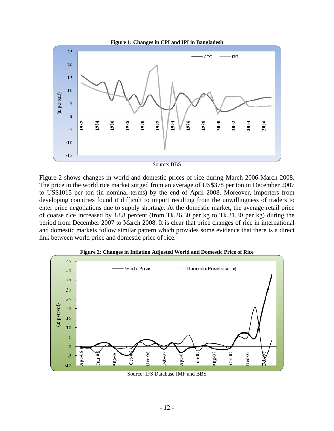



Figure 2 shows changes in world and domestic prices of rice during March 2006-March 2008. The price in the world rice market surged from an average of US\$378 per ton in December 2007 to US\$1015 per ton (in nominal terms) by the end of April 2008. Moreover, importers from developing countries found it difficult to import resulting from the unwillingness of traders to enter price negotiations due to supply shortage. At the domestic market, the average retail price of coarse rice increased by 18.8 percent (from Tk.26.30 per kg to Tk.31.30 per kg) during the period from December 2007 to March 2008. It is clear that price changes of rice in international and domestic markets follow similar pattern which provides some evidence that there is a direct link between world price and domestic price of rice.



**Figure 2: Changes in Inflation Adjusted World and Domestic Price of Rice** 

Source: IFS Database IMF and BBS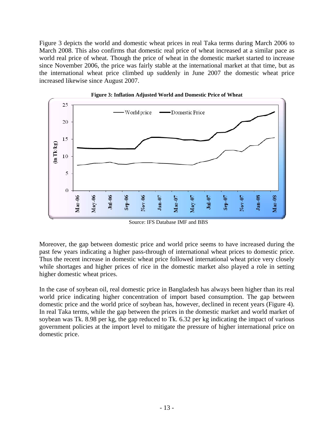Figure 3 depicts the world and domestic wheat prices in real Taka terms during March 2006 to March 2008. This also confirms that domestic real price of wheat increased at a similar pace as world real price of wheat. Though the price of wheat in the domestic market started to increase since November 2006, the price was fairly stable at the international market at that time, but as the international wheat price climbed up suddenly in June 2007 the domestic wheat price increased likewise since August 2007.



**Figure 3: Inflation Adjusted World and Domestic Price of Wheat** 

Source: IFS Database IMF and BBS

Moreover, the gap between domestic price and world price seems to have increased during the past few years indicating a higher pass-through of international wheat prices to domestic price. Thus the recent increase in domestic wheat price followed international wheat price very closely while shortages and higher prices of rice in the domestic market also played a role in setting higher domestic wheat prices.

In the case of soybean oil, real domestic price in Bangladesh has always been higher than its real world price indicating higher concentration of import based consumption. The gap between domestic price and the world price of soybean has, however, declined in recent years (Figure 4). In real Taka terms, while the gap between the prices in the domestic market and world market of soybean was Tk. 8.98 per kg, the gap reduced to Tk. 6.32 per kg indicating the impact of various government policies at the import level to mitigate the pressure of higher international price on domestic price.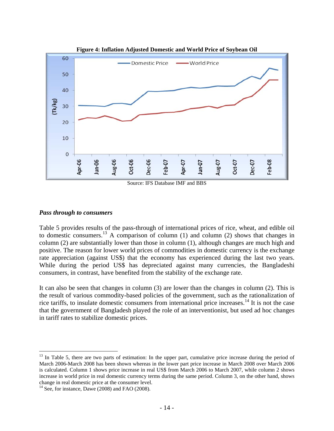

Source: IFS Database IMF and BBS

#### *Pass through to consumers*

Table 5 provides results of the pass-through of international prices of rice, wheat, and edible oil to domestic consumers.<sup>13</sup> A comparison of column (1) and column (2) shows that changes in column (2) are substantially lower than those in column (1), although changes are much high and positive. The reason for lower world prices of commodities in domestic currency is the exchange rate appreciation (against US\$) that the economy has experienced during the last two years. While during the period US\$ has depreciated against many currencies, the Bangladeshi consumers, in contrast, have benefited from the stability of the exchange rate.

It can also be seen that changes in column (3) are lower than the changes in column (2). This is the result of various commodity-based policies of the government, such as the rationalization of rice tariffs, to insulate domestic consumers from international price increases.14 It is not the case that the government of Bangladesh played the role of an interventionist, but used ad hoc changes in tariff rates to stabilize domestic prices.

 $13$  In Table 5, there are two parts of estimation: In the upper part, cumulative price increase during the period of March 2006-March 2008 has been shown whereas in the lower part price increase in March 2008 over March 2006 is calculated. Column 1 shows price increase in real US\$ from March 2006 to March 2007, while column 2 shows increase in world price in real domestic currency terms during the same period. Column 3, on the other hand, shows change in real domestic price at the consumer level.

 $14$  See, for instance, Dawe (2008) and FAO (2008).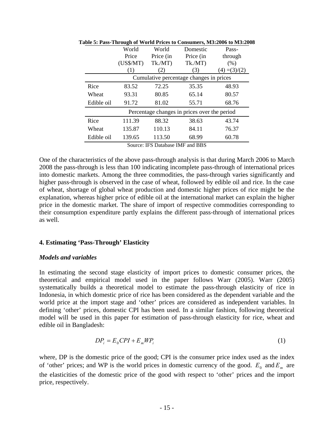|            | World     | World     | Domestic                                     | Pass-           |
|------------|-----------|-----------|----------------------------------------------|-----------------|
|            |           |           |                                              |                 |
|            | Price     | Price (in | Price (in                                    | through         |
|            | (US\$/MT) | Tk.MT)    | Tk.MT)                                       | (% )            |
|            | (1)       | (2)       | (3)                                          | $(4) = (3)/(2)$ |
|            |           |           | Cumulative percentage changes in prices      |                 |
| Rice       | 83.52     | 72.25     | 35.35                                        | 48.93           |
| Wheat      | 93.31     | 80.85     | 65.14                                        | 80.57           |
| Edible oil | 91.72     | 81.02     | 55.71                                        | 68.76           |
|            |           |           | Percentage changes in prices over the period |                 |
| Rice       | 111.39    | 88.32     | 38.63                                        | 43.74           |
| Wheat      | 135.87    | 110.13    | 84.11                                        | 76.37           |
| Edible oil | 139.65    | 113.50    | 68.99                                        | 60.78           |

**Table 5: Pass-Through of World Prices to Consumers, M3:2006 to M3:2008** 

Source: IFS Database IMF and BBS

One of the characteristics of the above pass-through analysis is that during March 2006 to March 2008 the pass-through is less than 100 indicating incomplete pass-through of international prices into domestic markets. Among the three commodities, the pass-through varies significantly and higher pass-through is observed in the case of wheat, followed by edible oil and rice. In the case of wheat, shortage of global wheat production and domestic higher prices of rice might be the explanation, whereas higher price of edible oil at the international market can explain the higher price in the domestic market. The share of import of respective commodities corresponding to their consumption expenditure partly explains the different pass-through of international prices as well.

#### **4. Estimating 'Pass-Through' Elasticity**

#### *Models and variables*

In estimating the second stage elasticity of import prices to domestic consumer prices, the theoretical and empirical model used in the paper follows Warr (2005). Warr (2005) systematically builds a theoretical model to estimate the pass-through elasticity of rice in Indonesia, in which domestic price of rice has been considered as the dependent variable and the world price at the import stage and 'other' prices are considered as independent variables. In defining 'other' prices, domestic CPI has been used. In a similar fashion, following theoretical model will be used in this paper for estimation of pass-through elasticity for rice, wheat and edible oil in Bangladesh:

$$
DP_i = E_0 CPI + E_m W P_i \tag{1}
$$

where, DP is the domestic price of the good; CPI is the consumer price index used as the index of 'other' prices; and WP is the world prices in domestic currency of the good.  $E_0$  and  $E_m$  are the elasticities of the domestic price of the good with respect to 'other' prices and the import price, respectively.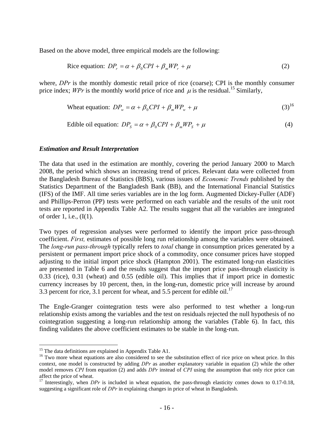Based on the above model, three empirical models are the following:

$$
\text{Rice equation: } DP_r = \alpha + \beta_0 CPI + \beta_m W P_r + \mu \tag{2}
$$

where, *DPr* is the monthly domestic retail price of rice (coarse); CPI is the monthly consumer price index; *WPr* is the monthly world price of rice and  $\mu$  is the residual.<sup>15</sup> Similarly,

$$
\text{Wheat equation: } DP_w = \alpha + \beta_0 CPI + \beta_m W P_w + \mu \tag{3}^{16}
$$

$$
Edible oil equation: DPS = \alpha + \beta_0 CPI + \beta_m WP_s + \mu
$$
\n(4)

#### *Estimation and Result Interpretation*

The data that used in the estimation are monthly, covering the period January 2000 to March 2008, the period which shows an increasing trend of prices. Relevant data were collected from the Bangladesh Bureau of Statistics (BBS), various issues of *Economic Trends* published by the Statistics Department of the Bangladesh Bank (BB), and the International Financial Statistics (IFS) of the IMF. All time series variables are in the log form. Augmented Dickey-Fuller (ADF) and Phillips-Perron (PP) tests were performed on each variable and the results of the unit root tests are reported in Appendix Table A2. The results suggest that all the variables are integrated of order 1, i.e.,  $(I(1))$ .

Two types of regression analyses were performed to identify the import price pass-through coefficient. *First,* estimates of possible long run relationship among the variables were obtained. The *long-run pass-through* typically refers to *total* change in consumption prices generated by a persistent or permanent import price shock of a commodity, once consumer prices have stopped adjusting to the initial import price shock (Hampton 2001). The estimated long-run elasticities are presented in Table 6 and the results suggest that the import price pass-through elasticity is 0.33 (rice), 0.31 (wheat) and 0.55 (edible oil). This implies that if import price in domestic currency increases by 10 percent, then, in the long-run, domestic price will increase by around 3.3 percent for rice, 3.1 percent for wheat, and 5.5 percent for edible oil.<sup>17</sup>

The Engle-Granger cointegration tests were also performed to test whether a long-run relationship exists among the variables and the test on residuals rejected the null hypothesis of no cointegration suggesting a long-run relationship among the variables (Table 6). In fact, this finding validates the above coefficient estimates to be stable in the long-run.

<sup>&</sup>lt;sup>15</sup> The data definitions are explained in Appendix Table A1.

<sup>&</sup>lt;sup>16</sup> Two more wheat equations are also considered to see the substitution effect of rice price on wheat price. In this context, one model is constructed by adding *DPr* as another explanatory variable in equation (2) while the other model removes *CPI* from equation (2) and adds *DPr* instead of *CPI* using the assumption that only rice price can affect the price of wheat.

<sup>&</sup>lt;sup>17</sup> Interestingly, when *DPr* is included in wheat equation, the pass-through elasticity comes down to 0.17-0.18, suggesting a significant role of *DPr* in explaining changes in price of wheat in Bangladesh.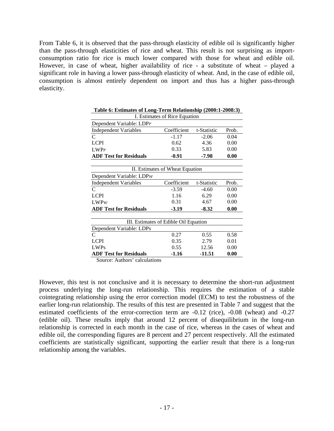From Table 6, it is observed that the pass-through elasticity of edible oil is significantly higher than the pass-through elasticities of rice and wheat. This result is not surprising as importconsumption ratio for rice is much lower compared with those for wheat and edible oil. However, in case of wheat, higher availability of rice - a substitute of wheat – played a significant role in having a lower pass-through elasticity of wheat. And, in the case of edible oil, consumption is almost entirely dependent on import and thus has a higher pass-through elasticity.

| I. Estimates of Rice Equation |                                       |             |       |  |  |  |
|-------------------------------|---------------------------------------|-------------|-------|--|--|--|
| Dependent Variable: LDPr      |                                       |             |       |  |  |  |
| <b>Independent Variables</b>  | Coefficient                           | t-Statistic | Prob. |  |  |  |
| C                             | $-1.17$                               | $-2.06$     | 0.04  |  |  |  |
| <b>LCPI</b>                   | 0.62                                  | 4.36        | 0.00  |  |  |  |
| LWPr                          | 0.33                                  | 5.83        | 0.00  |  |  |  |
| <b>ADF Test for Residuals</b> | $-0.91$                               | -7.98       | 0.00  |  |  |  |
|                               |                                       |             |       |  |  |  |
|                               | II. Estimates of Wheat Equation       |             |       |  |  |  |
| Dependent Variable: LDPw      |                                       |             |       |  |  |  |
| <b>Independent Variables</b>  | Coefficient                           | t-Statistic | Prob. |  |  |  |
| C                             | $-3.59$                               | $-4.60$     | 0.00  |  |  |  |
| <b>LCPI</b>                   | 1.16                                  | 6.29        | 0.00  |  |  |  |
| LWPw                          | 0.31                                  | 4.67        | 0.00  |  |  |  |
| <b>ADF Test for Residuals</b> | $-3.19$                               | $-8.32$     | 0.00  |  |  |  |
|                               |                                       |             |       |  |  |  |
|                               | III. Estimates of Edible Oil Equation |             |       |  |  |  |
| Dependent Variable: LDPs      |                                       |             |       |  |  |  |
| C                             | 0.27                                  | 0.55        | 0.58  |  |  |  |
| <b>LCPI</b>                   | 0.35                                  | 2.79        | 0.01  |  |  |  |
| <b>LWPs</b>                   | 0.55                                  | 12.56       | 0.00  |  |  |  |
| <b>ADF Test for Residuals</b> | -1.16                                 | -11.51      | 0.00  |  |  |  |

**Table 6: Estimates of Long-Term Relationship (2000:1-2008:3)** 

Source: Authors' calculations

However, this test is not conclusive and it is necessary to determine the short-run adjustment process underlying the long-run relationship. This requires the estimation of a stable cointegrating relationship using the error correction model (ECM) to test the robustness of the earlier long-run relationship. The results of this test are presented in Table 7 and suggest that the estimated coefficients of the error-correction term are -0.12 (rice), -0.08 (wheat) and -0.27 (edible oil). These results imply that around 12 percent of disequilibrium in the long-run relationship is corrected in each month in the case of rice, whereas in the cases of wheat and edible oil, the corresponding figures are 8 percent and 27 percent respectively. All the estimated coefficients are statistically significant, supporting the earlier result that there is a long-run relationship among the variables.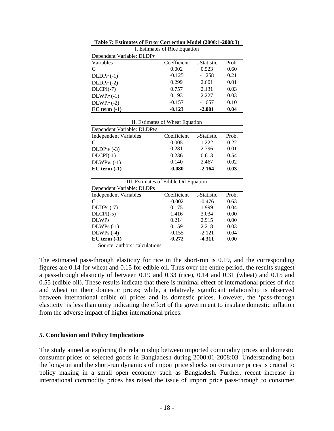| I. Estimates of Rice Equation |             |             |       |  |  |  |
|-------------------------------|-------------|-------------|-------|--|--|--|
| Dependent Variable: DLDPr     |             |             |       |  |  |  |
| Variables                     | Coefficient | t-Statistic | Prob. |  |  |  |
| C                             | 0.002       | 0.523       | 0.60  |  |  |  |
| $DLDPr(-1)$                   | $-0.125$    | $-1.258$    | 0.21  |  |  |  |
| $DLDPr(-2)$                   | 0.299       | 2.601       | 0.01  |  |  |  |
| $DLCPI(-7)$                   | 0.757       | 2.131       | 0.03  |  |  |  |
| $DLWPr(-1)$                   | 0.193       | 2.227       | 0.03  |  |  |  |
| $DLWPr(-2)$                   | $-0.157$    | $-1.657$    | 0.10  |  |  |  |
| $EC$ term $(-1)$              | $-0.123$    | $-2.001$    | 0.04  |  |  |  |
|                               |             |             |       |  |  |  |

**Table 7: Estimates of Error Correction Model (2000:1-2008:3)** 

| II. Estimates of Wheat Equation |             |             |       |  |  |  |
|---------------------------------|-------------|-------------|-------|--|--|--|
| Dependent Variable: DLDPw       |             |             |       |  |  |  |
| <b>Independent Variables</b>    | Coefficient | t-Statistic | Prob. |  |  |  |
| C                               | 0.005       | 1.222       | 0.22  |  |  |  |
| $DLDPw (-3)$                    | 0.281       | 2.796       | 0.01  |  |  |  |
| $DLCPI(-1)$                     | 0.236       | 0.613       | 0.54  |  |  |  |
| $DLW P w (-1)$                  | 0.140       | 2.467       | 0.02  |  |  |  |
| $EC$ term $(-1)$                | $-0.080$    | $-2.164$    | 0.03  |  |  |  |

| III. Estimates of Edible Oil Equation |             |             |       |  |  |  |
|---------------------------------------|-------------|-------------|-------|--|--|--|
| Dependent Variable: DLDPs             |             |             |       |  |  |  |
| <b>Independent Variables</b>          | Coefficient | t-Statistic | Prob. |  |  |  |
| C                                     | $-0.002$    | $-0.476$    | 0.63  |  |  |  |
| $DLDPs$ $(-7)$                        | 0.175       | 1.999       | 0.04  |  |  |  |
| $DLCPI(-5)$                           | 1.416       | 3.034       | 0.00  |  |  |  |
| <b>DLWPs</b>                          | 0.214       | 2.915       | 0.00  |  |  |  |
| $DLWPs(-1)$                           | 0.159       | 2.218       | 0.03  |  |  |  |
| $DLWPs(-4)$                           | $-0.155$    | $-2.121$    | 0.04  |  |  |  |
| $EC$ term $(-1)$                      | $-0.272$    | -4.311      | 0.00  |  |  |  |

Source: authors' calculations

The estimated pass-through elasticity for rice in the short-run is 0.19, and the corresponding figures are 0.14 for wheat and 0.15 for edible oil. Thus over the entire period, the results suggest a pass-through elasticity of between 0.19 and 0.33 (rice), 0.14 and 0.31 (wheat) and 0.15 and 0.55 (edible oil). These results indicate that there is minimal effect of international prices of rice and wheat on their domestic prices; while, a relatively significant relationship is observed between international edible oil prices and its domestic prices. However, the 'pass-through elasticity' is less than unity indicating the effort of the government to insulate domestic inflation from the adverse impact of higher international prices.

#### **5. Conclusion and Policy Implications**

The study aimed at exploring the relationship between imported commodity prices and domestic consumer prices of selected goods in Bangladesh during 2000:01-2008:03. Understanding both the long-run and the short-run dynamics of import price shocks on consumer prices is crucial to policy making in a small open economy such as Bangladesh. Further, recent increase in international commodity prices has raised the issue of import price pass-through to consumer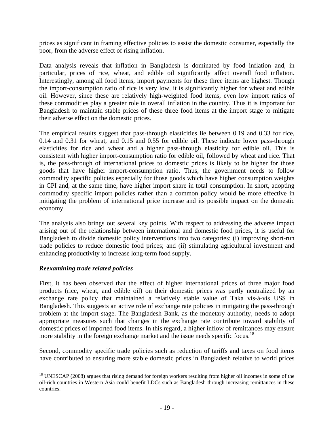prices as significant in framing effective policies to assist the domestic consumer, especially the poor, from the adverse effect of rising inflation.

Data analysis reveals that inflation in Bangladesh is dominated by food inflation and, in particular, prices of rice, wheat, and edible oil significantly affect overall food inflation. Interestingly, among all food items, import payments for these three items are highest. Though the import-consumption ratio of rice is very low, it is significantly higher for wheat and edible oil. However, since these are relatively high-weighted food items, even low import ratios of these commodities play a greater role in overall inflation in the country. Thus it is important for Bangladesh to maintain stable prices of these three food items at the import stage to mitigate their adverse effect on the domestic prices.

The empirical results suggest that pass-through elasticities lie between 0.19 and 0.33 for rice, 0.14 and 0.31 for wheat, and 0.15 and 0.55 for edible oil. These indicate lower pass-through elasticities for rice and wheat and a higher pass-through elasticity for edible oil. This is consistent with higher import-consumption ratio for edible oil, followed by wheat and rice. That is, the pass-through of international prices to domestic prices is likely to be higher for those goods that have higher import-consumption ratio. Thus, the government needs to follow commodity specific policies especially for those goods which have higher consumption weights in CPI and, at the same time, have higher import share in total consumption. In short, adopting commodity specific import policies rather than a common policy would be more effective in mitigating the problem of international price increase and its possible impact on the domestic economy.

The analysis also brings out several key points. With respect to addressing the adverse impact arising out of the relationship between international and domestic food prices, it is useful for Bangladesh to divide domestic policy interventions into two categories: (i) improving short-run trade policies to reduce domestic food prices; and (ii) stimulating agricultural investment and enhancing productivity to increase long-term food supply.

## *Reexamining trade related policies*

First, it has been observed that the effect of higher international prices of three major food products (rice, wheat, and edible oil) on their domestic prices was partly neutralized by an exchange rate policy that maintained a relatively stable value of Taka vis-à-vis US\$ in Bangladesh. This suggests an active role of exchange rate policies in mitigating the pass-through problem at the import stage. The Bangladesh Bank, as the monetary authority, needs to adopt appropriate measures such that changes in the exchange rate contribute toward stability of domestic prices of imported food items. In this regard, a higher inflow of remittances may ensure more stability in the foreign exchange market and the issue needs specific focus.<sup>18</sup>

Second, commodity specific trade policies such as reduction of tariffs and taxes on food items have contributed to ensuring more stable domestic prices in Bangladesh relative to world prices

 $\overline{a}$ <sup>18</sup> UNESCAP (2008) argues that rising demand for foreign workers resulting from higher oil incomes in some of the oil-rich countries in Western Asia could benefit LDCs such as Bangladesh through increasing remittances in these countries.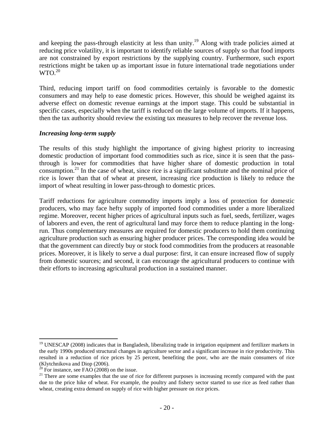and keeping the pass-through elasticity at less than unity.<sup>19</sup> Along with trade policies aimed at reducing price volatility, it is important to identify reliable sources of supply so that food imports are not constrained by export restrictions by the supplying country. Furthermore, such export restrictions might be taken up as important issue in future international trade negotiations under  $WTO^{20}$ 

Third, reducing import tariff on food commodities certainly is favorable to the domestic consumers and may help to ease domestic prices. However, this should be weighed against its adverse effect on domestic revenue earnings at the import stage. This could be substantial in specific cases, especially when the tariff is reduced on the large volume of imports. If it happens, then the tax authority should review the existing tax measures to help recover the revenue loss.

## *Increasing long-term supply*

The results of this study highlight the importance of giving highest priority to increasing domestic production of important food commodities such as rice, since it is seen that the passthrough is lower for commodities that have higher share of domestic production in total consumption.<sup>21</sup> In the case of wheat, since rice is a significant substitute and the nominal price of rice is lower than that of wheat at present, increasing rice production is likely to reduce the import of wheat resulting in lower pass-through to domestic prices.

Tariff reductions for agriculture commodity imports imply a loss of protection for domestic producers, who may face hefty supply of imported food commodities under a more liberalized regime. Moreover, recent higher prices of agricultural inputs such as fuel, seeds, fertilizer, wages of laborers and even, the rent of agricultural land may force them to reduce planting in the longrun. Thus complementary measures are required for domestic producers to hold them continuing agriculture production such as ensuring higher producer prices. The corresponding idea would be that the government can directly buy or stock food commodities from the producers at reasonable prices. Moreover, it is likely to serve a dual purpose: first, it can ensure increased flow of supply from domestic sources; and second, it can encourage the agricultural producers to continue with their efforts to increasing agricultural production in a sustained manner.

<sup>&</sup>lt;sup>19</sup> UNESCAP (2008) indicates that in Bangladesh, liberalizing trade in irrigation equipment and fertilizer markets in the early 1990s produced structural changes in agriculture sector and a significant increase in rice productivity. This resulted in a reduction of rice prices by 25 percent, benefiting the poor, who are the main consumers of rice (Klytchnikova and Diop (2006).

 $20$  For instance, see FAO (2008) on the issue.

<sup>&</sup>lt;sup>21</sup> There are some examples that the use of rice for different purposes is increasing recently compared with the past due to the price hike of wheat. For example, the poultry and fishery sector started to use rice as feed rather than wheat, creating extra demand on supply of rice with higher pressure on rice prices.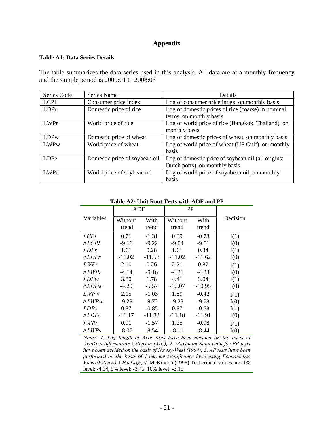## **Appendix**

#### **Table A1: Data Series Details**

The table summarizes the data series used in this analysis. All data are at a monthly frequency and the sample period is 2000:01 to 2008:03

| Series Code | Series Name                   | Details                                                                       |
|-------------|-------------------------------|-------------------------------------------------------------------------------|
| <b>LCPI</b> | Consumer price index          | Log of consumer price index, on monthly basis                                 |
| LDPr        | Domestic price of rice        | Log of domestic prices of rice (coarse) in nominal<br>terms, on monthly basis |
| <b>LWPr</b> | World price of rice           | Log of world price of rice (Bangkok, Thailand), on<br>monthly basis           |
| <b>LDPw</b> | Domestic price of wheat       | Log of domestic prices of wheat, on monthly basis                             |
| <b>LWPw</b> | World price of wheat          | Log of world price of wheat (US Gulf), on monthly<br><b>basis</b>             |
| LDPe        | Domestic price of soybean oil | Log of domestic price of soybean oil (all origins:                            |
|             |                               | Dutch ports), on monthly basis                                                |
| LWPe        | World price of soybean oil    | Log of world price of soyabean oil, on monthly                                |
|             |                               | basis                                                                         |

#### **Table A2: Unit Root Tests with ADF and PP**

|                  | ADF              |               | PP               |               |          |  |
|------------------|------------------|---------------|------------------|---------------|----------|--|
| Variables        | Without<br>trend | With<br>trend | Without<br>trend | With<br>trend | Decision |  |
| <i>LCPI</i>      | 0.71             | $-1.31$       | 0.89             | $-0.78$       | I(1)     |  |
| <b>ALCPI</b>     | $-9.16$          | $-9.22$       | $-9.04$          | $-9.51$       | I(0)     |  |
| LDPr             | 1.61             | 0.28          | 1.61             | 0.34          | I(1)     |  |
| $\Lambda LDPr$   | $-11.02$         | $-11.58$      | $-11.02$         | $-11.62$      | I(0)     |  |
| LWPr             | 2.10             | 0.26          | 2.21             | 0.87          | I(1)     |  |
| $\Lambda L W Pr$ | $-4.14$          | $-5.16$       | $-4.31$          | $-4.33$       | I(0)     |  |
| LDP <sub>w</sub> | 3.80             | 1.78          | 4.41             | 3.04          | I(1)     |  |
| $\Lambda LDPw$   | $-4.20$          | $-5.57$       | $-10.07$         | -10.95        | I(0)     |  |
| LWPw             | 2.15             | $-1.03$       | 1.89             | $-0.42$       | I(1)     |  |
| $\triangle LWPw$ | $-9.28$          | $-9.72$       | $-9.23$          | $-9.78$       | I(0)     |  |
| LDP <sub>s</sub> | 0.87             | $-0.85$       | 0.87             | $-0.68$       | I(1)     |  |
| $\triangle LDPs$ | $-11.17$         | $-11.83$      | $-11.18$         | $-11.91$      | I(0)     |  |
| LWPs             | 0.91             | $-1.57$       | 1.25             | $-0.98$       | I(1)     |  |
| $\triangle LWPs$ | $-8.07$          | $-8.54$       | $-8.11$          | $-8.44$       | I(0)     |  |

*Notes: 1. Lag length of ADF tests have been decided on the basis of Akaike's Information Criterion (AIC); 2. Maximum Bandwidth for PP tests have been decided on the basis of Newey-West (1994); 3. All tests have been performed on the basis of 1-percent significance level using Econometric Views(EViews) 4 Package; 4.* McKinnon (1996) Test critical values are: 1% level: -4.04, 5% level: -3.45, 10% level: -3.15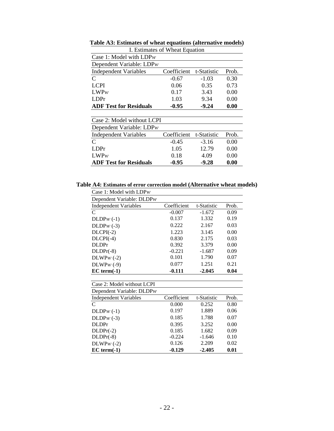| I. Estimates of Wheat Equation       |             |             |       |  |  |  |
|--------------------------------------|-------------|-------------|-------|--|--|--|
| Case 1: Model with $LDPw$            |             |             |       |  |  |  |
| Dependent Variable: LDP <sub>w</sub> |             |             |       |  |  |  |
| <b>Independent Variables</b>         | Coefficient | t-Statistic | Prob. |  |  |  |
| C                                    | $-0.67$     | -1.03       | 0.30  |  |  |  |
| LCPI                                 | 0.06        | 0.35        | 0.73  |  |  |  |
| LWPw                                 | 0.17        | 3.43        | 0.00  |  |  |  |
| LDPr                                 | 1.03        | 9.34        | 0.00  |  |  |  |
| <b>ADF Test for Residuals</b>        | $-0.95$     | -9.24       | 0.00  |  |  |  |
|                                      |             |             |       |  |  |  |
| Case 2: Model without LCPI           |             |             |       |  |  |  |
| Dependent Variable: LDP <sub>w</sub> |             |             |       |  |  |  |
| <b>Independent Variables</b>         | Coefficient | t-Statistic | Prob. |  |  |  |
| C                                    | $-0.45$     | $-3.16$     | 0.00  |  |  |  |
| LDPr                                 | 1.05        | 12.79       | 0.00  |  |  |  |
| LWPw                                 | 0.18        | 4.09        | 0.00  |  |  |  |
| <b>ADF</b> Test for Residuals        | -0.95       | -9.28       | 0.00  |  |  |  |

**Table A3: Estimates of wheat equations (alternative models)** 

**Table A4: Estimates of error correction model (Alternative wheat models)** 

| Case 1: Model with $LDPw$ |             |             |       |
|---------------------------|-------------|-------------|-------|
| Dependent Variable: DLDPw |             |             |       |
| Independent Variables     | Coefficient | t-Statistic | Prob. |
| C                         | $-0.007$    | $-1.672$    | 0.09  |
| $DLDPw(-1)$               | 0.137       | 1.332       | 0.19  |
| $DLDPw(-3)$               | 0.222       | 2.167       | 0.03  |
| $DLCPI(-2)$               | 1.223       | 3.145       | 0.00  |
| $DLCPI(-4)$               | 0.830       | 2.175       | 0.03  |
| $DI$ $DPr$                | 0.392       | 3.379       | 0.00  |
| $DLDPr(-8)$               | $-0.221$    | $-1.687$    | 0.09  |
| $DLW P w (-2)$            | 0.101       | 1.790       | 0.07  |
| $DLW P w (-9)$            | 0.077       | 1.251       | 0.21  |
| $EC$ term $(-1)$          | $-0.111$    | $-2.045$    | 0.04  |

| Case 2: Model without LCPI |             |             |       |
|----------------------------|-------------|-------------|-------|
| Dependent Variable: DLDPw  |             |             |       |
| Independent Variables      | Coefficient | t-Statistic | Prob. |
| C                          | 0.000       | 0.252       | 0.80  |
| $DLDPw(-1)$                | 0.197       | 1.889       | 0.06  |
| $DLDPw (-3)$               | 0.185       | 1.788       | 0.07  |
| DI.DPr                     | 0.395       | 3.252       | 0.00  |
| $DLDPr(-2)$                | 0.185       | 1.682       | 0.09  |
| $DLDPr(-8)$                | $-0.224$    | $-1.646$    | 0.10  |
| $DLW P w (-2)$             | 0.126       | 2.209       | 0.02  |
| $EC term(-1)$              | $-0.129$    | $-2.405$    | 0.01  |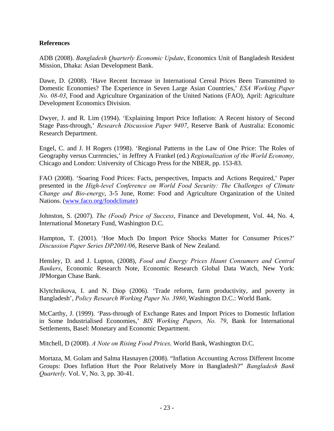#### **References**

ADB (2008). *Bangladesh Quarterly Economic Update*, Economics Unit of Bangladesh Resident Mission, Dhaka: Asian Development Bank.

Dawe, D. (2008). 'Have Recent Increase in International Cereal Prices Been Transmitted to Domestic Economies? The Experience in Seven Large Asian Countries,' *ESA Working Paper No. 08-03*, Food and Agriculture Organization of the United Nations (FAO), April: Agriculture Development Economics Division.

Dwyer, J. and R. Lim (1994). 'Explaining Import Price Inflation: A Recent history of Second Stage Pass-through,' *Research Discussion Paper 9407*, Reserve Bank of Australia: Economic Research Department.

Engel, C. and J. H Rogers (1998). 'Regional Patterns in the Law of One Price: The Roles of Geography versus Currencies,' in Jeffrey A Frankel (ed.) *Regionalization of the World Economy,* Chicago and London: University of Chicago Press for the NBER, pp. 153-83.

FAO (2008). 'Soaring Food Prices: Facts, perspectives, Impacts and Actions Required,' Paper presented in the *High-level Conference on World Food Security: The Challenges of Climate Change and Bio-energy*, 3-5 June, Rome: Food and Agriculture Organization of the United Nations. (www.faco.org/foodclimate)

Johnston, S. (2007). *The (Food) Price of Success*, Finance and Development, Vol. 44, No. 4, International Monetary Fund, Washington D.C.

Hampton, T. (2001). 'Hoe Much Do Import Price Shocks Matter for Consumer Prices?' *Discussion Paper Series DP2001/06*, Reserve Bank of New Zealand.

Hensley, D. and J. Lupton, (2008), *Food and Energy Prices Haunt Consumers and Central Bankers*, Economic Research Note, Economic Research Global Data Watch, New York: JPMorgan Chase Bank.

Klytchnikova, I. and N. Diop (2006). 'Trade reform, farm productivity, and poverty in Bangladesh', *Policy Research Working Paper No. 3980*, Washington D.C.: World Bank.

McCarthy, J. (1999). 'Pass-through of Exchange Rates and Import Prices to Domestic Inflation in Some Industrialised Economies,' *BIS Working Papers, No. 79*, Bank for International Settlements, Basel: Monetary and Economic Department.

Mitchell, D (2008). *A Note on Rising Food Prices,* World Bank, Washington D.C.

Mortaza, M. Golam and Salma Hasnayen (2008). "Inflation Accounting Across Different Income Groups: Does Inflation Hurt the Poor Relatively More in Bangladesh?" *Bangladesh Bank Quarterly,* Vol. V, No. 3, pp. 30-41.